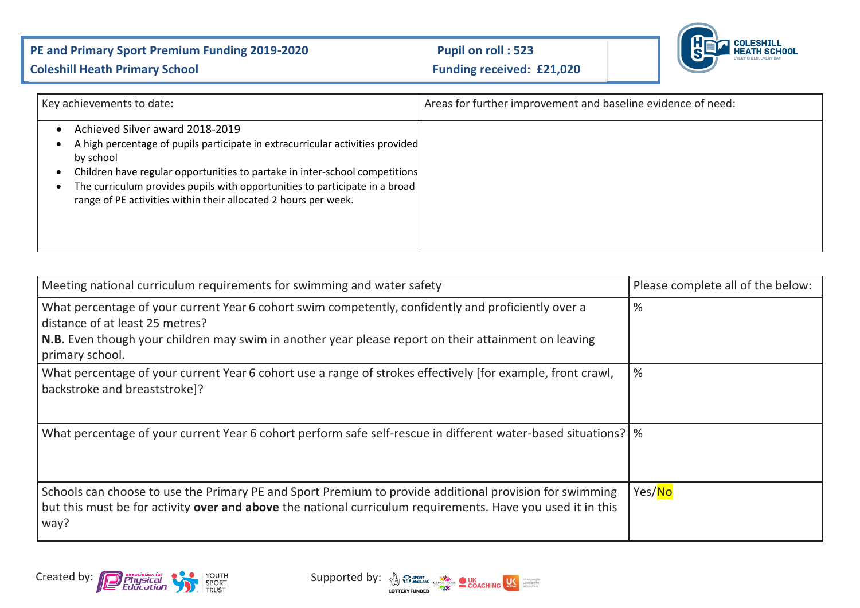## PE and Primary Sport Premium Funding 2019-2020 Pupil on roll : 523



## **Coleshill Heath Primary School Coleshill Heath Primary School Funding received: £21,020**

| Key achievements to date:                                                                                                                                                                                                                                                                                                                                       | Areas for further improvement and baseline evidence of need: |
|-----------------------------------------------------------------------------------------------------------------------------------------------------------------------------------------------------------------------------------------------------------------------------------------------------------------------------------------------------------------|--------------------------------------------------------------|
| Achieved Silver award 2018-2019<br>A high percentage of pupils participate in extracurricular activities provided<br>by school<br>Children have regular opportunities to partake in inter-school competitions<br>The curriculum provides pupils with opportunities to participate in a broad<br>range of PE activities within their allocated 2 hours per week. |                                                              |

| Meeting national curriculum requirements for swimming and water safety                                                                                                                                                         | Please complete all of the below: |
|--------------------------------------------------------------------------------------------------------------------------------------------------------------------------------------------------------------------------------|-----------------------------------|
| What percentage of your current Year 6 cohort swim competently, confidently and proficiently over a<br>distance of at least 25 metres?                                                                                         | %                                 |
| N.B. Even though your children may swim in another year please report on their attainment on leaving<br>primary school.                                                                                                        |                                   |
| What percentage of your current Year 6 cohort use a range of strokes effectively [for example, front crawl,<br>backstroke and breaststroke]?                                                                                   | %                                 |
| What percentage of your current Year 6 cohort perform safe self-rescue in different water-based situations?   %                                                                                                                |                                   |
| Schools can choose to use the Primary PE and Sport Premium to provide additional provision for swimming<br>but this must be for activity over and above the national curriculum requirements. Have you used it in this<br>way? | Yes/No                            |

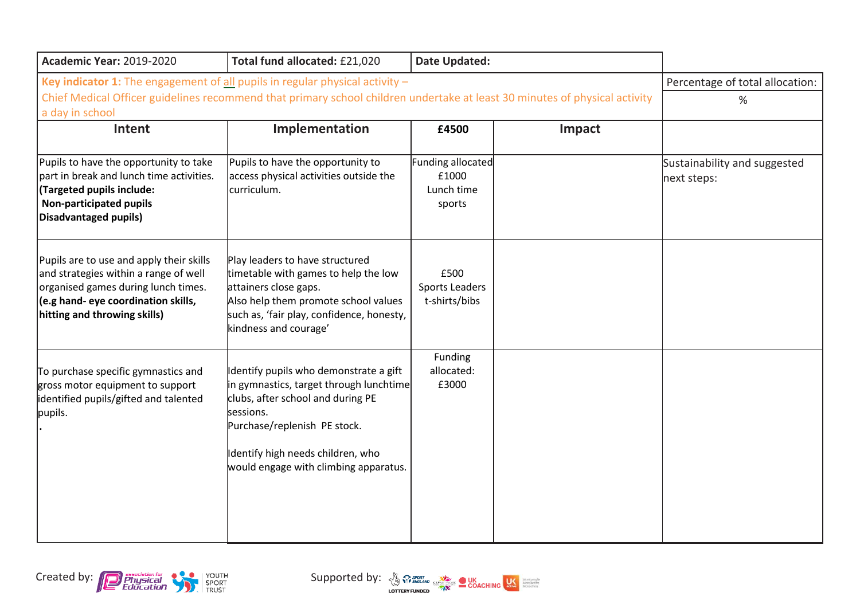| <b>Academic Year: 2019-2020</b>                                                                                                                                                                                                 | Total fund allocated: £21,020                                                                                                                                                                                                                     | Date Updated:                                             |        |                                             |
|---------------------------------------------------------------------------------------------------------------------------------------------------------------------------------------------------------------------------------|---------------------------------------------------------------------------------------------------------------------------------------------------------------------------------------------------------------------------------------------------|-----------------------------------------------------------|--------|---------------------------------------------|
| Key indicator 1: The engagement of all pupils in regular physical activity $-$<br>Chief Medical Officer guidelines recommend that primary school children undertake at least 30 minutes of physical activity<br>a day in school | Percentage of total allocation:<br>%                                                                                                                                                                                                              |                                                           |        |                                             |
| Intent                                                                                                                                                                                                                          | Implementation                                                                                                                                                                                                                                    | £4500                                                     | Impact |                                             |
| Pupils to have the opportunity to take<br>part in break and lunch time activities.<br>(Targeted pupils include:<br><b>Non-participated pupils</b><br>Disadvantaged pupils)                                                      | Pupils to have the opportunity to<br>access physical activities outside the<br>curriculum.                                                                                                                                                        | <b>Funding allocated</b><br>£1000<br>Lunch time<br>sports |        | Sustainability and suggested<br>next steps: |
| Pupils are to use and apply their skills<br>and strategies within a range of well<br>organised games during lunch times.<br>$\vert$ (e.g hand- eye coordination skills,<br>hitting and throwing skills)                         | Play leaders to have structured<br>timetable with games to help the low<br>attainers close gaps.<br>Also help them promote school values<br>such as, 'fair play, confidence, honesty,<br>kindness and courage'                                    | £500<br><b>Sports Leaders</b><br>t-shirts/bibs            |        |                                             |
| To purchase specific gymnastics and<br>gross motor equipment to support<br>identified pupils/gifted and talented<br>pupils.                                                                                                     | Identify pupils who demonstrate a gift<br>in gymnastics, target through lunchtime<br>clubs, after school and during PE<br>sessions.<br>Purchase/replenish PE stock.<br>Identify high needs children, who<br>would engage with climbing apparatus. | Funding<br>allocated:<br>£3000                            |        |                                             |



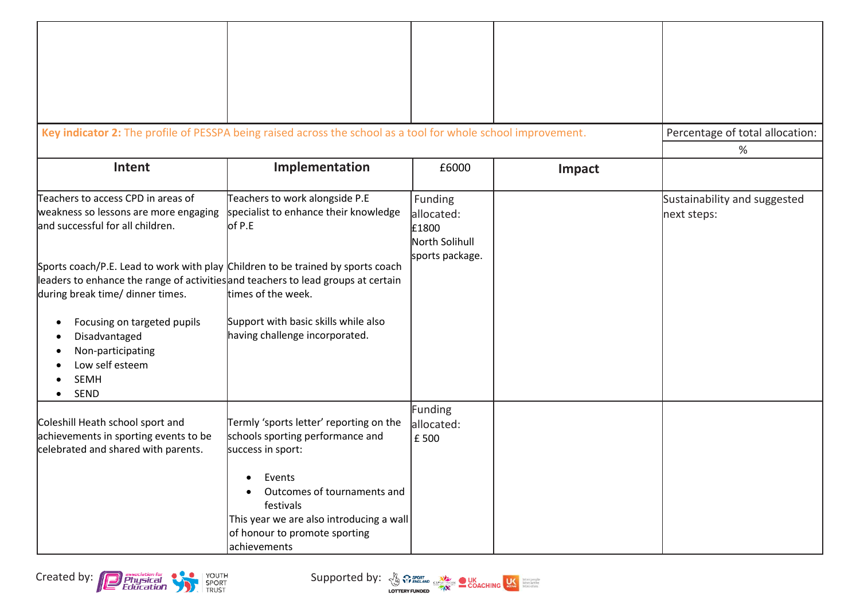| Key indicator 2: The profile of PESSPA being raised across the school as a tool for whole school improvement.                                                                                                                                                                                                                                                                                                                                                 |                                                                                                                                                                                                                                                       |                                                                     |        | Percentage of total allocation:<br>%        |
|---------------------------------------------------------------------------------------------------------------------------------------------------------------------------------------------------------------------------------------------------------------------------------------------------------------------------------------------------------------------------------------------------------------------------------------------------------------|-------------------------------------------------------------------------------------------------------------------------------------------------------------------------------------------------------------------------------------------------------|---------------------------------------------------------------------|--------|---------------------------------------------|
| Intent                                                                                                                                                                                                                                                                                                                                                                                                                                                        | Implementation                                                                                                                                                                                                                                        | £6000                                                               | Impact |                                             |
| Teachers to access CPD in areas of<br>weakness so lessons are more engaging<br>land successful for all children.<br>Sports coach/P.E. Lead to work with play Children to be trained by sports coach<br>leaders to enhance the range of activities and teachers to lead groups at certain<br>during break time/ dinner times.<br>Focusing on targeted pupils<br>٠<br>Disadvantaged<br>Non-participating<br>Low self esteem<br><b>SEMH</b><br>SEND<br>$\bullet$ | Teachers to work alongside P.E<br>specialist to enhance their knowledge<br>of P.E<br>times of the week.<br>Support with basic skills while also<br>having challenge incorporated.                                                                     | Funding<br>allocated:<br>£1800<br>North Solihull<br>sports package. |        | Sustainability and suggested<br>next steps: |
| Coleshill Heath school sport and<br>achievements in sporting events to be<br>celebrated and shared with parents.                                                                                                                                                                                                                                                                                                                                              | Termly 'sports letter' reporting on the<br>schools sporting performance and<br>success in sport:<br>• Events<br>Outcomes of tournaments and<br>festivals<br>This year we are also introducing a wall<br>of honour to promote sporting<br>achievements | <b>Funding</b><br>allocated:<br>£500                                |        |                                             |

Created by: **Contract of the Contract of the Supported by**: **Supported by:**  $\frac{N}{2}$   $\frac{N}{2}$   $\frac{N}{2}$   $\frac{N}{2}$   $\frac{N}{2}$   $\frac{N}{2}$   $\frac{N}{2}$   $\frac{N}{2}$   $\frac{N}{2}$   $\frac{N}{2}$   $\frac{N}{2}$   $\frac{N}{2}$   $\frac{N}{2}$   $\frac{N}{2}$   $\frac{N}{$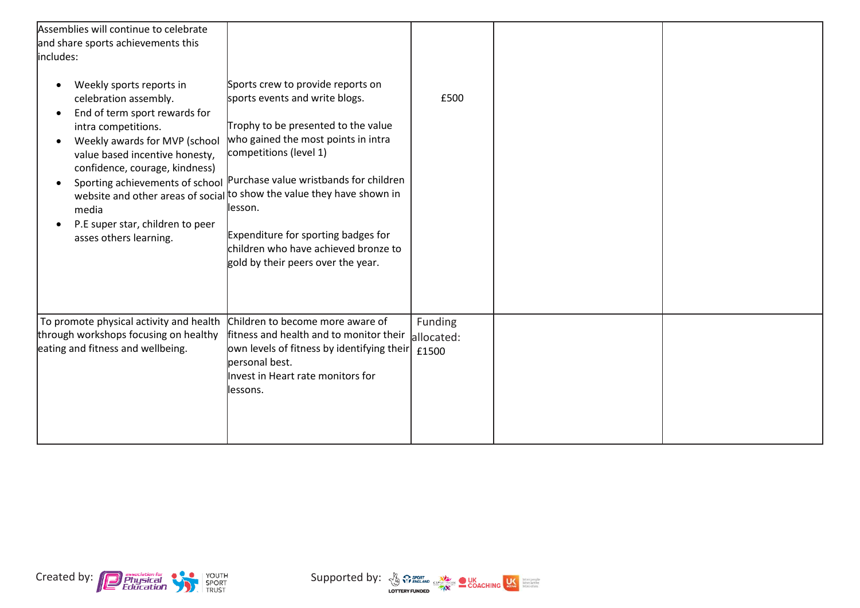| Assemblies will continue to celebrate                                                                                                                                                                                                                                                 |                                                                                                                                                                                                                                                                                                                                                                                                                                                                  |                       |  |
|---------------------------------------------------------------------------------------------------------------------------------------------------------------------------------------------------------------------------------------------------------------------------------------|------------------------------------------------------------------------------------------------------------------------------------------------------------------------------------------------------------------------------------------------------------------------------------------------------------------------------------------------------------------------------------------------------------------------------------------------------------------|-----------------------|--|
| and share sports achievements this                                                                                                                                                                                                                                                    |                                                                                                                                                                                                                                                                                                                                                                                                                                                                  |                       |  |
| includes:                                                                                                                                                                                                                                                                             |                                                                                                                                                                                                                                                                                                                                                                                                                                                                  |                       |  |
| Weekly sports reports in<br>celebration assembly.<br>End of term sport rewards for<br>intra competitions.<br>Weekly awards for MVP (school<br>value based incentive honesty,<br>confidence, courage, kindness)<br>media<br>P.E super star, children to peer<br>asses others learning. | Sports crew to provide reports on<br>sports events and write blogs.<br>Trophy to be presented to the value<br>who gained the most points in intra<br>competitions (level 1)<br>Sporting achievements of school Purchase value wristbands for children<br>website and other areas of social to show the value they have shown in<br>llesson.<br>Expenditure for sporting badges for<br>children who have achieved bronze to<br>gold by their peers over the year. | £500                  |  |
| To promote physical activity and health<br>through workshops focusing on healthy<br>eating and fitness and wellbeing.                                                                                                                                                                 | Children to become more aware of<br>fitness and health and to monitor their<br>own levels of fitness by identifying their $\left  \right.1500$<br>personal best.<br>Invest in Heart rate monitors for<br>lessons.                                                                                                                                                                                                                                                | Funding<br>allocated: |  |



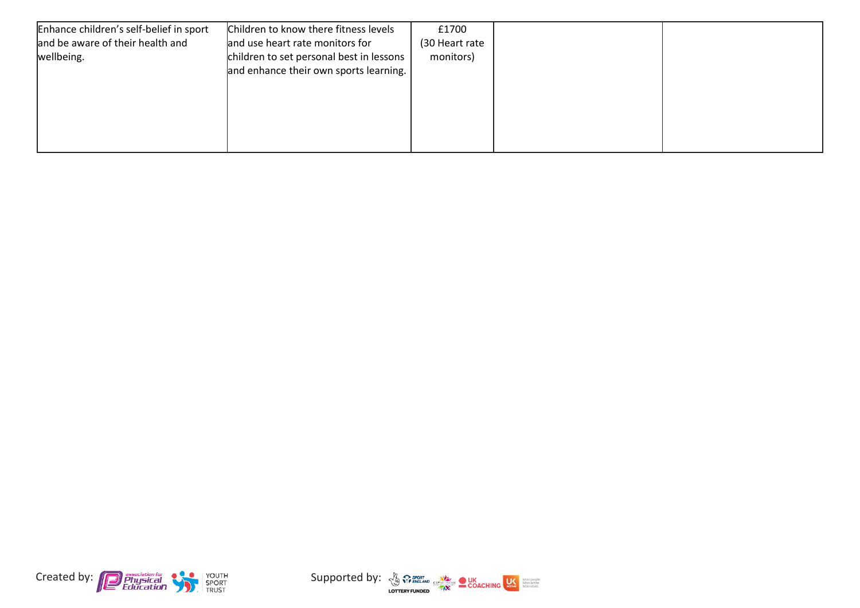| Enhance children's self-belief in sport | Children to know there fitness levels    | £1700          |  |
|-----------------------------------------|------------------------------------------|----------------|--|
| and be aware of their health and        | and use heart rate monitors for          | (30 Heart rate |  |
| wellbeing.                              | children to set personal best in lessons | monitors)      |  |
|                                         | and enhance their own sports learning.   |                |  |
|                                         |                                          |                |  |
|                                         |                                          |                |  |
|                                         |                                          |                |  |
|                                         |                                          |                |  |
|                                         |                                          |                |  |
|                                         |                                          |                |  |



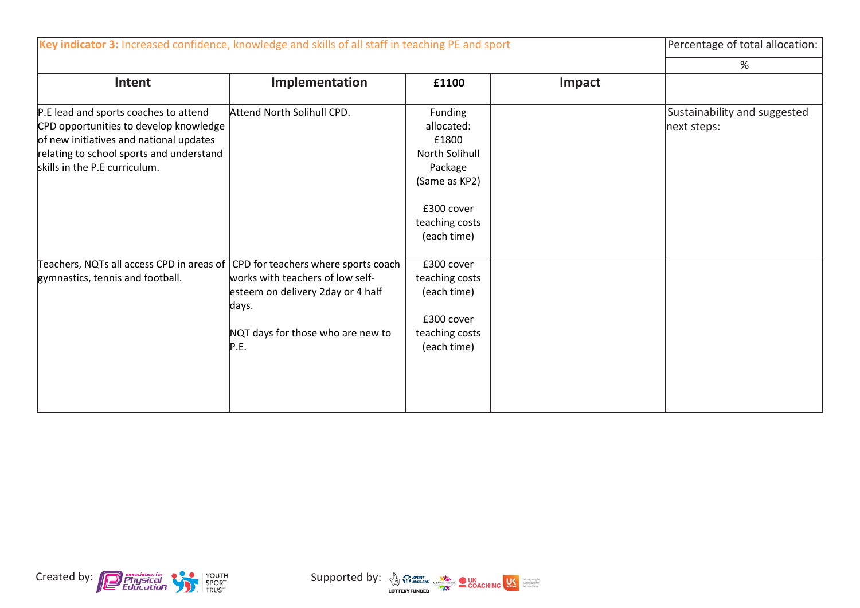| Key indicator 3: Increased confidence, knowledge and skills of all staff in teaching PE and sport                                                                                                       |                                                                                                                             | Percentage of total allocation:                                                                                                    |        |                                             |
|---------------------------------------------------------------------------------------------------------------------------------------------------------------------------------------------------------|-----------------------------------------------------------------------------------------------------------------------------|------------------------------------------------------------------------------------------------------------------------------------|--------|---------------------------------------------|
|                                                                                                                                                                                                         |                                                                                                                             | %                                                                                                                                  |        |                                             |
| Intent                                                                                                                                                                                                  | Implementation                                                                                                              | £1100                                                                                                                              | Impact |                                             |
| P.E lead and sports coaches to attend<br>CPD opportunities to develop knowledge<br>of new initiatives and national updates<br>relating to school sports and understand<br>skills in the P.E curriculum. | Attend North Solihull CPD.                                                                                                  | Funding<br>allocated:<br>£1800<br><b>North Solihull</b><br>Package<br>(Same as KP2)<br>£300 cover<br>teaching costs<br>(each time) |        | Sustainability and suggested<br>next steps: |
| Teachers, NQTs all access CPD in areas of CPD for teachers where sports coach<br>gymnastics, tennis and football.                                                                                       | works with teachers of low self-<br>esteem on delivery 2day or 4 half<br>days.<br>NQT days for those who are new to<br>P.E. | £300 cover<br>teaching costs<br>(each time)<br>£300 cover<br>teaching costs<br>(each time)                                         |        |                                             |



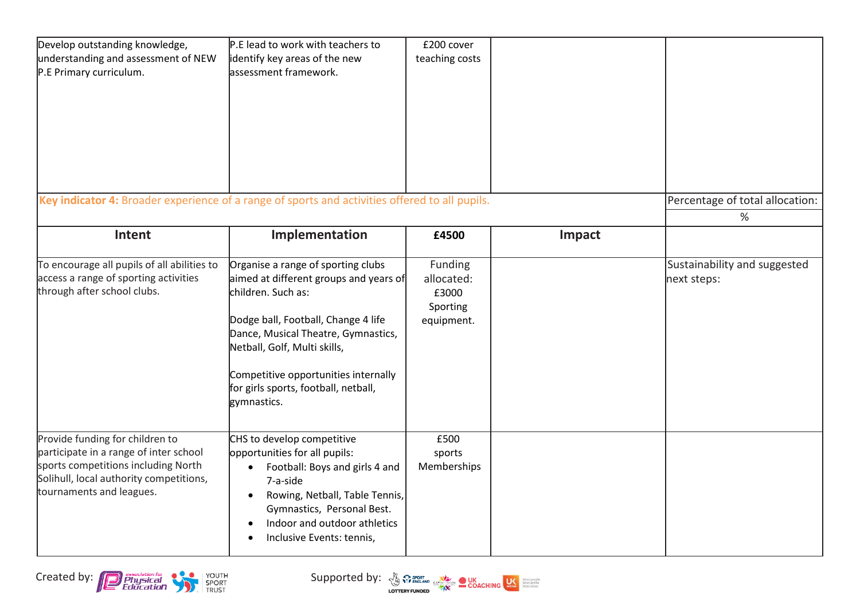| Develop outstanding knowledge,<br>understanding and assessment of NEW<br>P.E Primary curriculum.                                                                                        | P.E lead to work with teachers to<br>identify key areas of the new<br>assessment framework.                                                                                                                                                                                                                     | £200 cover<br>teaching costs                                    |        |                                             |
|-----------------------------------------------------------------------------------------------------------------------------------------------------------------------------------------|-----------------------------------------------------------------------------------------------------------------------------------------------------------------------------------------------------------------------------------------------------------------------------------------------------------------|-----------------------------------------------------------------|--------|---------------------------------------------|
| Key indicator 4: Broader experience of a range of sports and activities offered to all pupils.                                                                                          |                                                                                                                                                                                                                                                                                                                 |                                                                 |        | Percentage of total allocation:<br>%        |
| Intent                                                                                                                                                                                  | Implementation                                                                                                                                                                                                                                                                                                  | £4500                                                           | Impact |                                             |
| To encourage all pupils of all abilities to<br>access a range of sporting activities<br>through after school clubs.                                                                     | Organise a range of sporting clubs<br>aimed at different groups and years of<br>children. Such as:<br>Dodge ball, Football, Change 4 life<br>Dance, Musical Theatre, Gymnastics,<br>Netball, Golf, Multi skills,<br>Competitive opportunities internally<br>for girls sports, football, netball,<br>gymnastics. | <b>Funding</b><br>allocated:<br>£3000<br>Sporting<br>equipment. |        | Sustainability and suggested<br>next steps: |
| Provide funding for children to<br>participate in a range of inter school<br>sports competitions including North<br>Solihull, local authority competitions,<br>tournaments and leagues. | CHS to develop competitive<br>opportunities for all pupils:<br>Football: Boys and girls 4 and<br>$\bullet$<br>7-a-side<br>Rowing, Netball, Table Tennis,<br>$\bullet$<br>Gymnastics, Personal Best.<br>Indoor and outdoor athletics<br>$\bullet$<br>Inclusive Events: tennis,<br>$\bullet$                      | £500<br>sports<br>Memberships                                   |        |                                             |

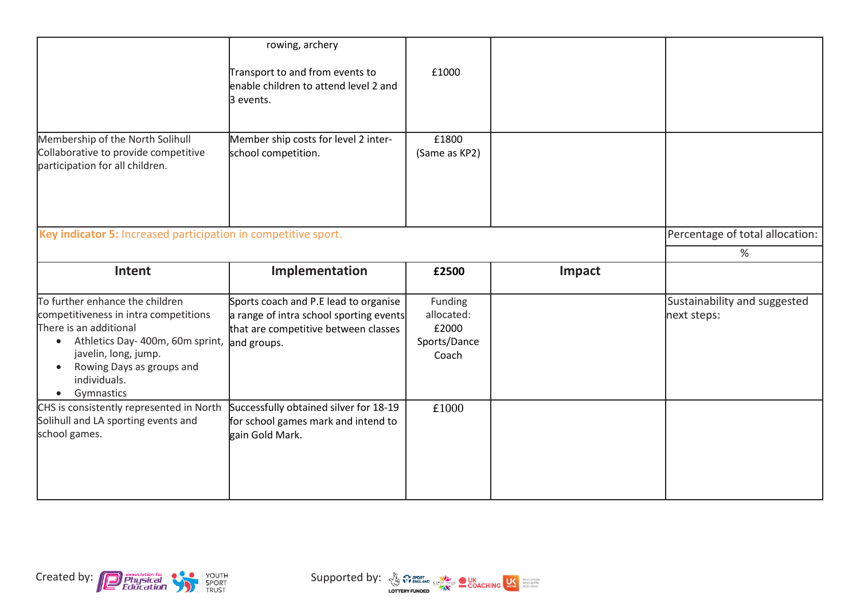|                                                                                                                                                                                                                                                                              | rowing, archery<br>Transport to and from events to<br>enable children to attend level 2 and<br>3 events.                 | £1000                                                   |        |                                             |
|------------------------------------------------------------------------------------------------------------------------------------------------------------------------------------------------------------------------------------------------------------------------------|--------------------------------------------------------------------------------------------------------------------------|---------------------------------------------------------|--------|---------------------------------------------|
| Membership of the North Solihull<br>Collaborative to provide competitive<br>participation for all children.                                                                                                                                                                  | Member ship costs for level 2 inter-<br>school competition.                                                              | £1800<br>(Same as KP2)                                  |        |                                             |
| Key indicator 5: Increased participation in competitive sport.                                                                                                                                                                                                               |                                                                                                                          |                                                         |        | Percentage of total allocation:             |
|                                                                                                                                                                                                                                                                              |                                                                                                                          |                                                         |        | ℅                                           |
| Intent                                                                                                                                                                                                                                                                       | Implementation                                                                                                           | £2500                                                   | Impact |                                             |
| To further enhance the children<br>competitiveness in intra competitions<br>There is an additional<br>Athletics Day- 400m, 60m sprint, and groups.<br>$\bullet$<br>javelin, long, jump.<br>Rowing Days as groups and<br>$\bullet$<br>individuals.<br>Gymnastics<br>$\bullet$ | Sports coach and P.E lead to organise<br>a range of intra school sporting events<br>that are competitive between classes | Funding<br>allocated:<br>£2000<br>Sports/Dance<br>Coach |        | Sustainability and suggested<br>next steps: |
| CHS is consistently represented in North<br>Solihull and LA sporting events and<br>school games.                                                                                                                                                                             | Successfully obtained silver for 18-19<br>for school games mark and intend to<br>gain Gold Mark.                         | £1000                                                   |        |                                             |